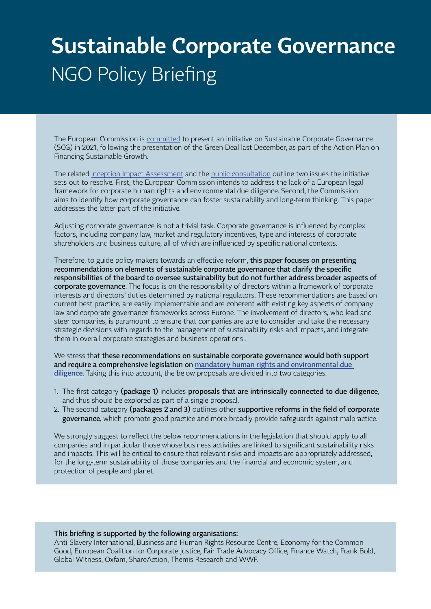# **Sustainable Corporate Governance** NGO Policy Briefing

The European Commission is [committed](https://www.business-humanrights.org/en/latest-news/eu-commissioner-for-justice-commits-to-legislation-on-mandatory-due-diligence-for-companies/) to present an initiative on Sustainable Corporate Governance (SCG) in 2021, following the presentation of the Green Deal last December, as part of the Action Plan on Financing Sustainable Growth.

The related [Inception Impact Assessment](https://ec.europa.eu/info/law/better-regulation/have-your-say/initiatives/12548-Sustainable-corporate-governance) and the [public consultation](https://ec.europa.eu/info/law/better-regulation/have-your-say/initiatives/12548-Sustainable-corporate-governance/public-consultation) outline two issues the initiative sets out to resolve. First, the European Commission intends to address the lack of a European legal framework for corporate human rights and environmental due diligence. Second, the Commission aims to identify how corporate governance can foster sustainability and long-term thinking. This paper addresses the latter part of the initiative.

Adjusting corporate governance is not a trivial task. Corporate governance is influenced by complex factors, including company law, market and regulatory incentives, type and interests of corporate shareholders and business culture, all of which are influenced by specific national contexts.

Therefore, to guide policy-makers towards an effective reform, this paper focuses on presenting recommendations on elements of sustainable corporate governance that clarify the specific responsibilities of the board to oversee sustainability but do not further address broader aspects of corporate governance. The focus is on the responsibility of directors within a framework of corporate interests and directors' duties determined by national regulators. These recommendations are based on current best practice, are easily implementable and are coherent with existing key aspects of company law and corporate governance frameworks across Europe. The involvement of directors, who lead and steer companies, is paramount to ensure that companies are able to consider and take the necessary strategic decisions with regards to the management of sustainability risks and impacts, and integrate them in overall corporate strategies and business operations .

We stress that these recommendations on sustainable corporate governance would both support and require a comprehensive legislation on [mandatory human rights and environmental due](http://corporatejustice.org/wp-content/uploads/2021/03/principal-elements-of-an-eu-mhredd-legislation.pdf)  [diligence.](http://corporatejustice.org/wp-content/uploads/2021/03/principal-elements-of-an-eu-mhredd-legislation.pdf) Taking this into account, the below proposals are divided into two categories.

- 1. The first category (package 1) includes proposals that are intrinsically connected to due diligence, and thus should be explored as part of a single proposal.
- 2. The second category (packages 2 and 3) outlines other supportive reforms in the field of corporate governance, which promote good practice and more broadly provide safeguards against malpractice.

We strongly suggest to reflect the below recommendations in the legislation that should apply to all companies and in particular those whose business activities are linked to significant sustainability risks and impacts. This will be critical to ensure that relevant risks and impacts are appropriately addressed, for the long-term sustainability of those companies and the financial and economic system, and protection of people and planet.

#### This briefing is supported by the following organisations:

Anti-Slavery International, Business and Human Rights Resource Centre, Economy for the Common Good, European Coalition for Corporate Justice, Fair Trade Advocacy Office, Finance Watch, Frank Bold, Global Witness, Oxfam, ShareAction, Themis Research and WWF.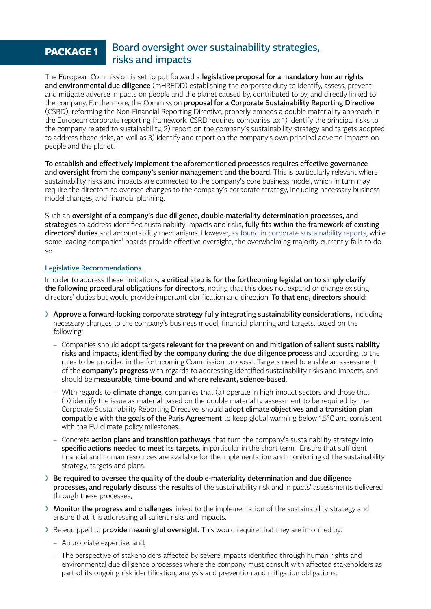## **PACKAGE 1** Board oversight over sustainability strategies, risks and impacts

The European Commission is set to put forward a **legislative proposal for a mandatory human rights** and environmental due diligence (mHREDD) establishing the corporate duty to identify, assess, prevent and mitigate adverse impacts on people and the planet caused by, contributed to by, and directly linked to the company. Furthermore, the Commission proposal for a Corporate Sustainability Reporting Directive (CSRD), reforming the Non-Financial Reporting Directive, properly embeds a double materiality approach in the European corporate reporting framework. CSRD requires companies to: 1) identify the principal risks to the company related to sustainability, 2) report on the company's sustainability strategy and targets adopted to address those risks, as well as 3) identify and report on the company's own principal adverse impacts on people and the planet.

To establish and effectively implement the aforementioned processes requires effective governance and oversight from the company's senior management and the board. This is particularly relevant where sustainability risks and impacts are connected to the company's core business model, which in turn may require the directors to oversee changes to the company's corporate strategy, including necessary business model changes, and financial planning.

Such an oversight of a company's due diligence, double-materiality determination processes, and strategies to address identified sustainability impacts and risks, fully fits within the framework of existing directors' duties and accountability mechanisms. However, [as found in corporate sustainability reports](https://www.allianceforcorporatetransparency.org/news/what-needs-to-be-reported-on-governance-of-esg.html), while some leading companies' boards provide effective oversight, the overwhelming majority currently fails to do so.

#### Legislative Recommendations

In order to address these limitations, a critical step is for the forthcoming legislation to simply clarify the following procedural obligations for directors, noting that this does not expand or change existing directors' duties but would provide important clarification and direction. To that end, directors should:

- ❯ Approve a forward-looking corporate strategy fully integrating sustainability considerations, including necessary changes to the company's business model, financial planning and targets, based on the following:
	- Companies should adopt targets relevant for the prevention and mitigation of salient sustainability risks and impacts, identified by the company during the due diligence process and according to the rules to be provided in the forthcoming Commission proposal. Targets need to enable an assessment of the **company's progress** with regards to addressing identified sustainability risks and impacts, and should be measurable, time-bound and where relevant, science-based.
	- $-$  WIth regards to **climate change**, companies that  $(a)$  operate in high-impact sectors and those that (b) identify the issue as material based on the double materiality assessment to be required by the Corporate Sustainability Reporting Directive, should adopt climate objectives and a transition plan compatible with the goals of the Paris Agreement to keep global warming below 1.5°C and consistent with the EU climate policy milestones.
	- Concrete **action plans and transition pathways** that turn the company's sustainability strategy into specific actions needed to meet its targets, in particular in the short term. Ensure that sufficient financial and human resources are available for the implementation and monitoring of the sustainability strategy, targets and plans.
- > Be required to oversee the quality of the double-materiality determination and due diligence processes, and regularly discuss the results of the sustainability risk and impacts' assessments delivered through these processes;
- > Monitor the progress and challenges linked to the implementation of the sustainability strategy and ensure that it is addressing all salient risks and impacts.
- Be equipped to **provide meaningful oversight.** This would require that they are informed by:
	- Appropriate expertise; and,
	- The perspective of stakeholders affected by severe impacts identified through human rights and environmental due diligence processes where the company must consult with affected stakeholders as part of its ongoing risk identification, analysis and prevention and mitigation obligations.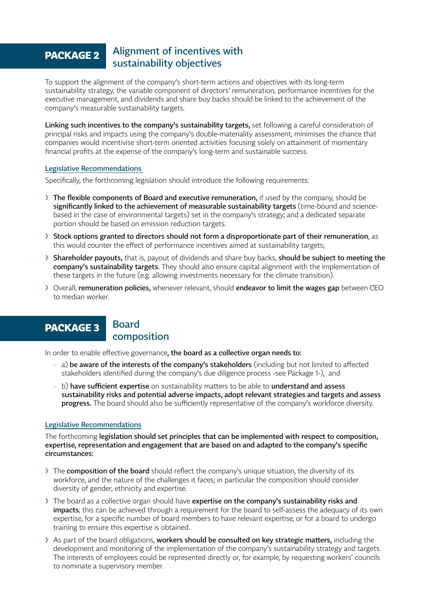## Alignment of incentives with **PACKAGE 2 PACKAGE 2 PACKAGE 2 PACKAGE 2 PACKAGE 2 PACKAGE 2 PACK**

To support the alignment of the company's short-term actions and objectives with its long-term sustainability strategy, the variable component of directors' remuneration, performance incentives for the executive management, and dividends and share buy backs should be linked to the achievement of the company's measurable sustainability targets.

Linking such incentives to the company's sustainability targets, set following a careful consideration of principal risks and impacts using the company's double-materiality assessment, minimises the chance that companies would incentivise short-term oriented activities focusing solely on attainment of momentary financial profits at the expense of the company's long-term and sustainable success.

#### Legislative Recommendations

Specifically, the forthcoming legislation should introduce the following requirements:

- Inte flexible components of Board and executive remuneration, if used by the company, should be significantly linked to the achievement of measurable sustainability targets (time-bound and sciencebased in the case of environmental targets) set in the company's strategy; and a dedicated separate portion should be based on emission reduction targets.
- Stock options granted to directors should not form a disproportionate part of their remuneration, as this would counter the effect of performance incentives aimed at sustainability targets;
- Shareholder payouts, that is, payout of dividends and share buy backs, should be subiect to meeting the company's sustainability targets. They should also ensure capital alignment with the implementation of these targets in the future (e.g. allowing investments necessary for the climate transition).
- > Overall, remuneration policies, whenever relevant, should endeavor to limit the wages gap between CEO to median worker.

## **PACKAGE 3**

### Board composition

In order to enable effective governance, the board as a collective organ needs to:

- a) be aware of the interests of the company's stakeholders (including but not limited to affected stakeholders identified during the company's due diligence process -see Package 1-), and
- $-$  b) have sufficient expertise on sustainability matters to be able to understand and assess sustainability risks and potential adverse impacts, adopt relevant strategies and targets and assess progress. The board should also be sufficiently representative of the company's workforce diversity.

#### Legislative Recommendations

The forthcoming legislation should set principles that can be implemented with respect to composition, expertise, representation and engagement that are based on and adapted to the company's specific circumstances:

- The composition of the board should reflect the company's unique situation, the diversity of its workforce, and the nature of the challenges it faces; in particular the composition should consider diversity of gender, ethnicity and expertise.
- If the board as a collective organ should have expertise on the company's sustainability risks and impacts; this can be achieved through a requirement for the board to self-assess the adequacy of its own expertise, for a specific number of board members to have relevant expertise, or for a board to undergo training to ensure this expertise is obtained.
- As part of the board obligations, workers should be consulted on key strategic matters, including the development and monitoring of the implementation of the company's sustainability strategy and targets. The interests of employees could be represented directly or, for example, by requesting workers' councils to nominate a supervisory member.